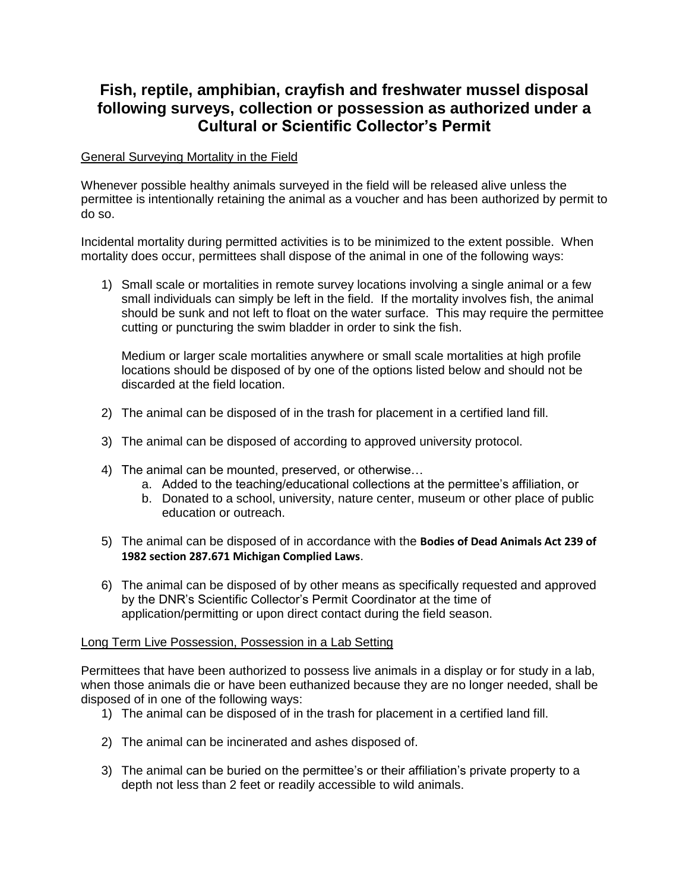## **Fish, reptile, amphibian, crayfish and freshwater mussel disposal following surveys, collection or possession as authorized under a Cultural or Scientific Collector's Permit**

## General Surveying Mortality in the Field

Whenever possible healthy animals surveyed in the field will be released alive unless the permittee is intentionally retaining the animal as a voucher and has been authorized by permit to do so.

Incidental mortality during permitted activities is to be minimized to the extent possible. When mortality does occur, permittees shall dispose of the animal in one of the following ways:

1) Small scale or mortalities in remote survey locations involving a single animal or a few small individuals can simply be left in the field. If the mortality involves fish, the animal should be sunk and not left to float on the water surface. This may require the permittee cutting or puncturing the swim bladder in order to sink the fish.

Medium or larger scale mortalities anywhere or small scale mortalities at high profile locations should be disposed of by one of the options listed below and should not be discarded at the field location.

- 2) The animal can be disposed of in the trash for placement in a certified land fill.
- 3) The animal can be disposed of according to approved university protocol.
- 4) The animal can be mounted, preserved, or otherwise…
	- a. Added to the teaching/educational collections at the permittee's affiliation, or
	- b. Donated to a school, university, nature center, museum or other place of public education or outreach.
- 5) The animal can be disposed of in accordance with the **Bodies of Dead Animals Act 239 of 1982 section 287.671 Michigan Complied Laws**.
- 6) The animal can be disposed of by other means as specifically requested and approved by the DNR's Scientific Collector's Permit Coordinator at the time of application/permitting or upon direct contact during the field season.

## Long Term Live Possession, Possession in a Lab Setting

Permittees that have been authorized to possess live animals in a display or for study in a lab, when those animals die or have been euthanized because they are no longer needed, shall be disposed of in one of the following ways:

- 1) The animal can be disposed of in the trash for placement in a certified land fill.
- 2) The animal can be incinerated and ashes disposed of.
- 3) The animal can be buried on the permittee's or their affiliation's private property to a depth not less than 2 feet or readily accessible to wild animals.